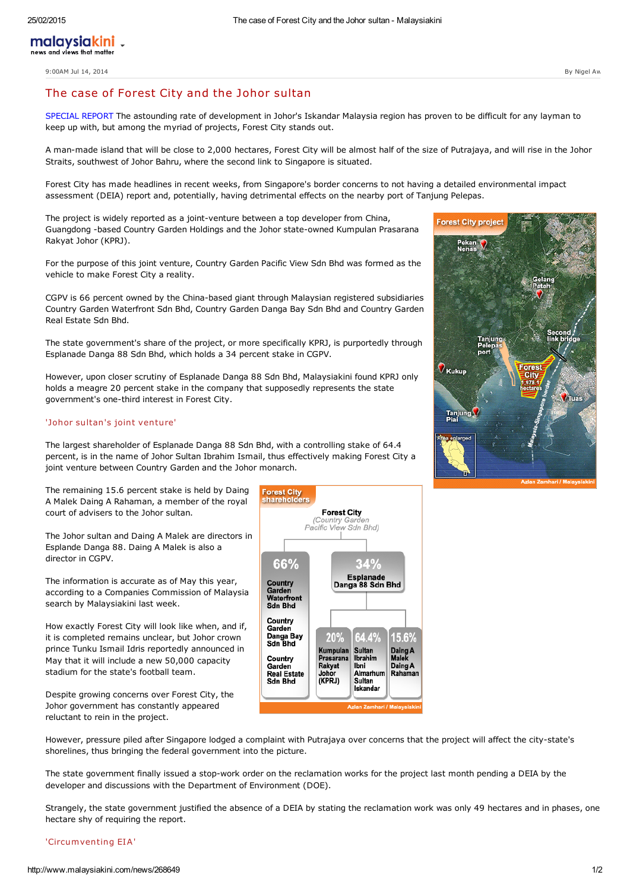9:00AM Jul 14, 2014 By Nigel Aw

# The case of Forest City and the Johor sultan

SPECIAL REPORT The astounding rate of development in Johor's Iskandar Malaysia region has proven to be difficult for any layman to keep up with, but among the myriad of projects, Forest City stands out.

A man-made island that will be close to 2,000 hectares, Forest City will be almost half of the size of Putrajaya, and will rise in the Johor Straits, southwest of Johor Bahru, where the second link to Singapore is situated.

Forest City has made headlines in recent weeks, from Singapore's border concerns to not having a detailed environmental impact assessment (DEIA) report and, potentially, having detrimental effects on the nearby port of Tanjung Pelepas.

The project is widely reported as a joint-venture between a top developer from China, Guangdong -based Country Garden Holdings and the Johor state-owned Kumpulan Prasarana Rakyat Johor (KPRJ).

For the purpose of this joint venture, Country Garden Pacific View Sdn Bhd was formed as the vehicle to make Forest City a reality.

CGPV is 66 percent owned by the China-based giant through Malaysian registered subsidiaries Country Garden Waterfront Sdn Bhd, Country Garden Danga Bay Sdn Bhd and Country Garden Real Estate Sdn Bhd.

The state government's share of the project, or more specifically KPRJ, is purportedly through Esplanade Danga 88 Sdn Bhd, which holds a 34 percent stake in CGPV.

However, upon closer scrutiny of Esplanade Danga 88 Sdn Bhd, Malaysiakini found KPRJ only holds a meagre 20 percent stake in the company that supposedly represents the state government's one-third interest in Forest City.

# 'Johor sultan's joint venture'

The largest shareholder of Esplanade Danga 88 Sdn Bhd, with a controlling stake of 64.4 percent, is in the name of Johor Sultan Ibrahim Ismail, thus effectively making Forest City a joint venture between Country Garden and the Johor monarch.

The remaining 15.6 percent stake is held by Daing A Malek Daing A Rahaman, a member of the royal court of advisers to the Johor sultan.

The Johor sultan and Daing A Malek are directors in Esplande Danga 88. Daing A Malek is also a director in CGPV.

The information is accurate as of May this year, according to a Companies Commission of Malaysia search by Malaysiakini last week.

How exactly Forest City will look like when, and if, it is completed remains unclear, but Johor crown prince Tunku Ismail Idris reportedly announced in May that it will include a new 50,000 capacity stadium for the state's football team.

Despite growing concerns over Forest City, the Johor government has constantly appeared reluctant to rein in the project.



However, pressure piled after Singapore lodged a complaint with Putrajaya over concerns that the project will affect the city-state's shorelines, thus bringing the federal government into the picture.

The state government finally issued a stop-work order on the reclamation works for the project last month pending a DEIA by the developer and discussions with the Department of Environment (DOE).

Strangely, the state government justified the absence of a DEIA by stating the reclamation work was only 49 hectares and in phases, one hectare shy of requiring the report.

# 'Circumventing EIA'

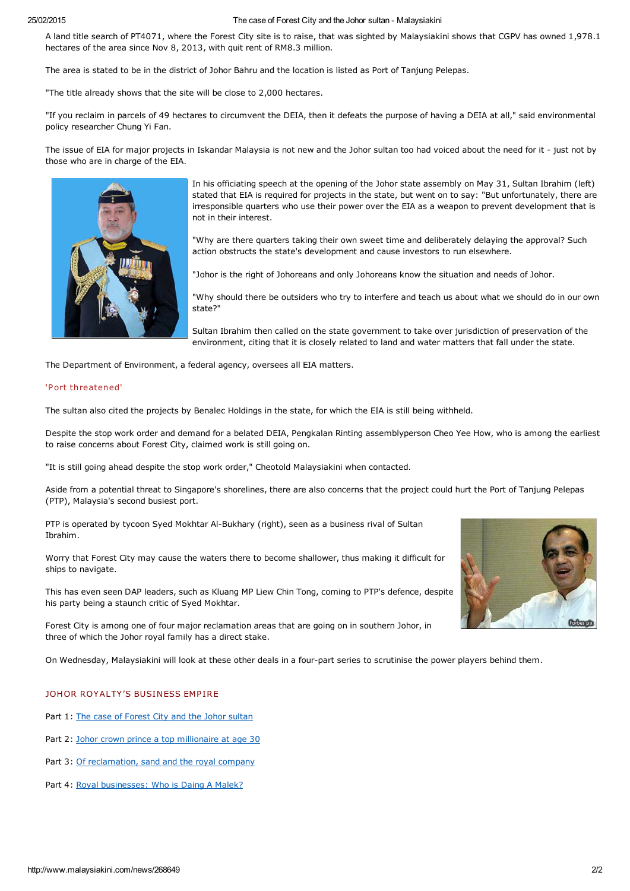#### 25/02/2015 The case of Forest City and the Johor sultan - Malaysiakini

A land title search of PT4071, where the Forest City site is to raise, that was sighted by Malaysiakini shows that CGPV has owned 1,978.1 hectares of the area since Nov 8, 2013, with quit rent of RM8.3 million.

The area is stated to be in the district of Johor Bahru and the location is listed as Port of Tanjung Pelepas.

"The title already shows that the site will be close to 2,000 hectares.

"If you reclaim in parcels of 49 hectares to circumvent the DEIA, then it defeats the purpose of having a DEIA at all," said environmental policy researcher Chung Yi Fan.

The issue of EIA for major projects in Iskandar Malaysia is not new and the Johor sultan too had voiced about the need for it - just not by those who are in charge of the EIA.



In his officiating speech at the opening of the Johor state assembly on May 31, Sultan Ibrahim (left) stated that EIA is required for projects in the state, but went on to say: "But unfortunately, there are irresponsible quarters who use their power over the EIA as a weapon to prevent development that is not in their interest.

"Why are there quarters taking their own sweet time and deliberately delaying the approval? Such action obstructs the state's development and cause investors to run elsewhere.

"Johor is the right of Johoreans and only Johoreans know the situation and needs of Johor.

"Why should there be outsiders who try to interfere and teach us about what we should do in our own state?"

Sultan Ibrahim then called on the state government to take over jurisdiction of preservation of the environment, citing that it is closely related to land and water matters that fall under the state.

The Department of Environment, a federal agency, oversees all EIA matters.

## 'P ort threatened'

The sultan also cited the projects by Benalec Holdings in the state, for which the EIA is still being withheld.

Despite the stop work order and demand for a belated DEIA, Pengkalan Rinting assemblyperson Cheo Yee How, who is among the earliest to raise concerns about Forest City, claimed work is still going on.

"It is still going ahead despite the stop work order," Cheotold Malaysiakini when contacted.

Aside from a potential threat to Singapore's shorelines, there are also concerns that the project could hurt the Port of Tanjung Pelepas (PTP), Malaysia's second busiest port.

PTP is operated by tycoon Syed Mokhtar Al-Bukhary (right), seen as a business rival of Sultan Ibrahim.

Worry that Forest City may cause the waters there to become shallower, thus making it difficult for ships to navigate.

This has even seen DAP leaders, such as Kluang MP Liew Chin Tong, coming to PTP's defence, despite his party being a staunch critic of Syed Mokhtar.

Forest City is among one of four major reclamation areas that are going on in southern Johor, in three of which the Johor royal family has a direct stake.

On Wednesday, Malaysiakini will look at these other deals in a four-part series to scrutinise the power players behind them.

## JOHOR ROYALTY'S BUSINESS EMPIRE

Part 1: The case of [Forest](http://www.malaysiakini.com/news/268649) City and the Johor sultan

- Part 2: Johor crown prince a top [millionaire](http://www.malaysiakini.com/news/268842) at age 30
- Part 3: Of [reclamation,](http://www.malaysiakini.com/news/268962) sand and the royal company
- Part 4: Royal [businesses:](http://www.malaysiakini.com/news/269133) Who is Daing A Malek?

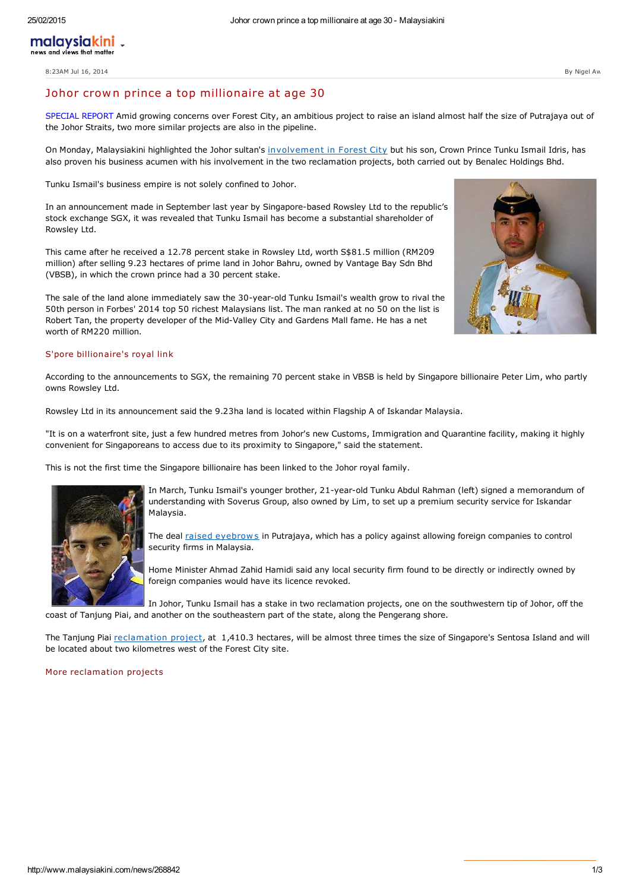8:23AM Jul 16, 2014 By Nigel Aw

# Johor crown prince a top millionaire at age 30

SPECIAL REPORT Amid growing concerns over Forest City, an ambitious project to raise an island almost half the size of Putrajaya out of the Johor Straits, two more similar projects are also in the pipeline.

On Monday, Malaysiakini highlighted the Johor sultan's involvement in Forest City but his son, Crown Prince Tunku Ismail Idris, has also proven his business acumen with his involvement in the two reclamation projects, both carried out by Benalec Holdings Bhd.

Tunku Ismail's business empire is not solely confined to Johor.

In an announcement made in September last year by Singapore-based Rowsley Ltd to the republic's stock exchange SGX, it was revealed that Tunku Ismail has become a substantial shareholder of Rowsley Ltd.

This came after he received a 12.78 percent stake in Rowsley Ltd, worth S\$81.5 million (RM209 million) after selling 9.23 hectares of prime land in Johor Bahru, owned by Vantage Bay Sdn Bhd (VBSB), in which the crown prince had a 30 percent stake.

The sale of the land alone immediately saw the 30-year-old Tunku Ismail's wealth grow to rival the 50th person in Forbes' 2014 top 50 richest Malaysians list. The man ranked at no 50 on the list is Robert Tan, the property developer of the Mid-Valley City and Gardens Mall fame. He has a net worth of RM220 million.

## S'pore billionaire's royal link

According to the announcements to SGX, the remaining 70 percent stake in VBSB is held by Singapore billionaire Peter Lim, who partly owns Rowsley Ltd.

Rowsley Ltd in its announcement said the 9.23ha land is located within Flagship A of Iskandar Malaysia.

"It is on a waterfront site, just a few hundred metres from Johor's new Customs, Immigration and Quarantine facility, making it highly convenient for Singaporeans to access due to its proximity to Singapore," said the statement.

This is not the first time the Singapore billionaire has been linked to the Johor royal family.



In March, Tunku Ismail's younger brother, 21-year-old Tunku Abdul Rahman (left) signed a memorandum of understanding with Soverus Group, also owned by Lim, to set up a premium security service for Iskandar Malaysia.

The deal raised eyebrows in Putrajaya, which has a policy against allowing foreign companies to control security firms in Malaysia.

Home Minister Ahmad Zahid Hamidi said any local security firm found to be directly or indirectly owned by foreign companies would have its licence revoked.

In Johor, Tunku Ismail has a stake in two reclamation projects, one on the southwestern tip of Johor, off the coast of Tanjung Piai, and another on the southeastern part of the state, along the Pengerang shore.

The Tanjung Piai [reclamation](http://www.kinibiz.com/story/corporate/8610/piai-to-be-malaysia%E2%80%99s-second-major-oil-trading-hub.html) project, at 1,410.3 hectares, will be almost three times the size of Singapore's Sentosa Island and will be located about two kilometres west of the Forest City site.

#### More reclamation projects

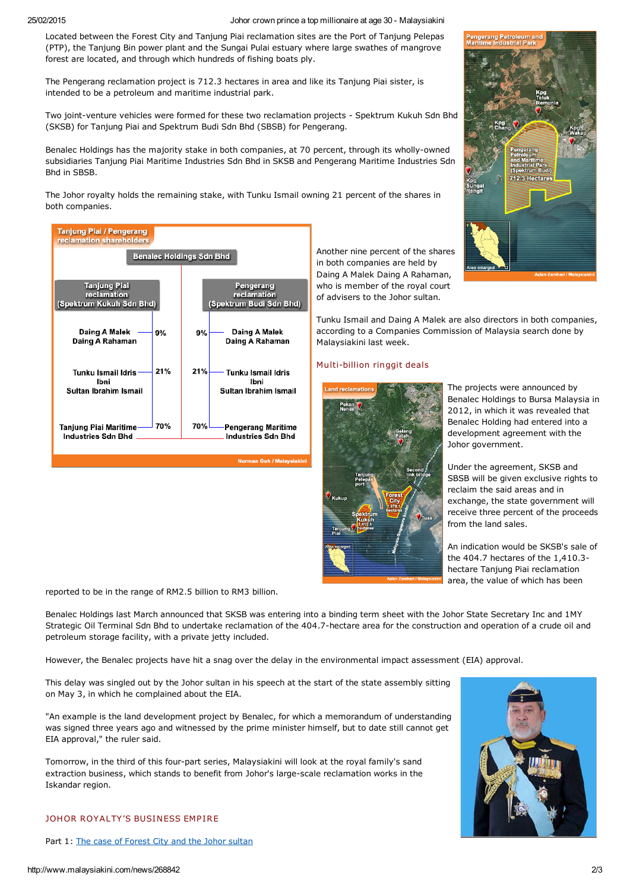25/02/2015 Johor crown prince a top millionaire at age 30 - Malaysiakini

Located between the Forest City and Tanjung Piai reclamation sites are the Port of Tanjung Pelepas (PTP), the Tanjung Bin power plant and the Sungai Pulai estuary where large swathes of mangrove forest are located, and through which hundreds of fishing boats ply.

The Pengerang reclamation project is 712.3 hectares in area and like its Tanjung Piai sister, is intended to be a petroleum and maritime industrial park.

Two joint-venture vehicles were formed for these two reclamation projects - Spektrum Kukuh Sdn Bhd (SKSB) for Tanjung Piai and Spektrum Budi Sdn Bhd (SBSB) for Pengerang.

Benalec Holdings has the majority stake in both companies, at 70 percent, through its wholly-owned subsidiaries Tanjung Piai Maritime Industries Sdn Bhd in SKSB and Pengerang Maritime Industries Sdn Bhd in SBSB.

The Johor royalty holds the remaining stake, with Tunku Ismail owning 21 percent of the shares in both companies.



Another nine percent of the shares in both companies are held by Daing A Malek Daing A Rahaman, who is member of the royal court of advisers to the Johor sultan.

Tunku Ismail and Daing A Malek are also directors in both companies, according to a Companies Commission of Malaysia search done by Malaysiakini last week.

# Multi-billion ringgit deals



Benalec Holdings to Bursa Malaysia in 2012, in which it was revealed that Benalec Holding had entered into a development agreement with the Johor government.

Under the agreement, SKSB and SBSB will be given exclusive rights to reclaim the said areas and in exchange, the state government will receive three percent of the proceeds from the land sales.

An indication would be SKSB's sale of the 404.7 hectares of the 1,410.3 hectare Tanjung Piai reclamation area, the value of which has been

reported to be in the range of RM2.5 billion to RM3 billion.

Benalec Holdings last March announced that SKSB was entering into a binding term sheet with the Johor State Secretary Inc and 1MY Strategic Oil Terminal Sdn Bhd to undertake reclamation of the 404.7-hectare area for the construction and operation of a crude oil and petroleum storage facility, with a private jetty included.

However, the Benalec projects have hit a snag over the delay in the environmental impact assessment (EIA) approval.

This delay was singled out by the Johor sultan in his speech at the start of the state assembly sitting on May 3, in which he complained about the EIA.

"An example is the land development project by Benalec, for which a memorandum of understanding was signed three years ago and witnessed by the prime minister himself, but to date still cannot get EIA approval," the ruler said.

Tomorrow, in the third of this four-part series, Malaysiakini will look at the royal family's sand extraction business, which stands to benefit from Johor's large-scale reclamation works in the Iskandar region.



Part 1: The case of [Forest](http://www.malaysiakini.com/news/268649) City and the Johor sultan



The projects were announced by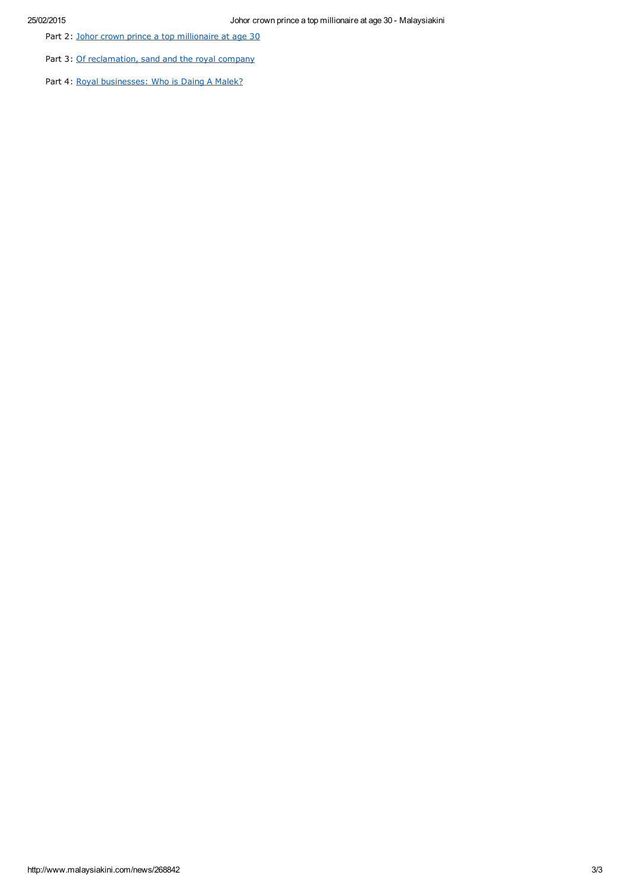Part 2: Johor crown prince a top [millionaire](http://www.malaysiakini.com/news/268842) at age 30

Part 3: Of [reclamation,](http://www.malaysiakini.com/news/268962) sand and the royal company

Part 4: Royal [businesses:](http://www.malaysiakini.com/news/269133) Who is Daing A Malek?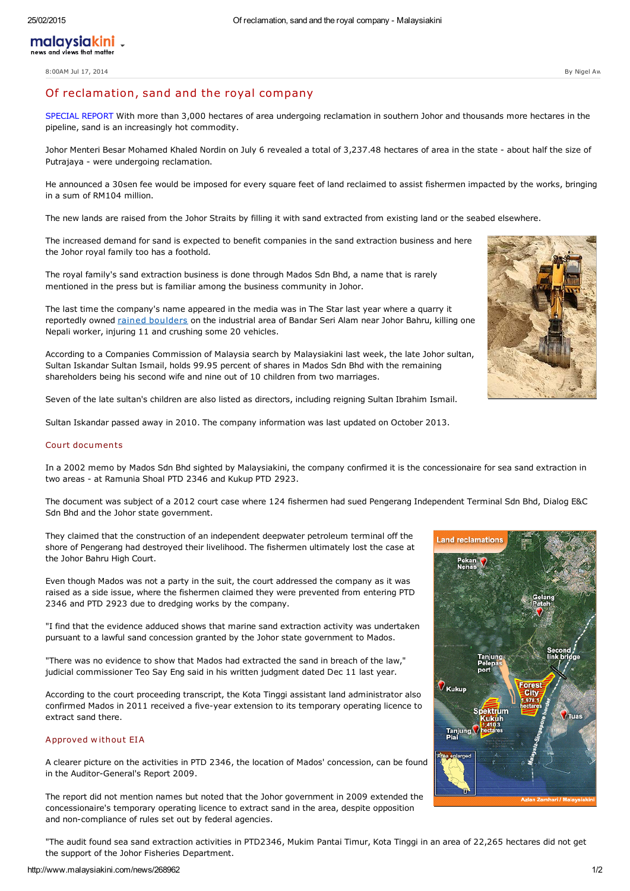8:00AM Jul 17, 2014 By Nigel Aw

# Of reclamation, sand and the royal company

SPECIAL REPORT With more than 3,000 hectares of area undergoing reclamation in southern Johor and thousands more hectares in the pipeline, sand is an increasingly hot commodity.

Johor Menteri Besar Mohamed Khaled Nordin on July 6 revealed a total of 3,237.48 hectares of area in the state - about half the size of Putrajaya - were undergoing reclamation.

He announced a 30sen fee would be imposed for every square feet of land reclaimed to assist fishermen impacted by the works, bringing in a sum of RM104 million.

The new lands are raised from the Johor Straits by filling it with sand extracted from existing land or the seabed elsewhere.

The increased demand for sand is expected to benefit companies in the sand extraction business and here the Johor royal family too has a foothold.

The royal family's sand extraction business is done through Mados Sdn Bhd, a name that is rarely mentioned in the press but is familiar among the business community in Johor.

The last time the company's name appeared in the media was in The Star last year where a quarry it reportedly owned rained [boulders](http://www.thestar.com.my/News/Nation/2013/07/20/One-killed-in-quarry-site-explosion.aspx/) on the industrial area of Bandar Seri Alam near Johor Bahru, killing one Nepali worker, injuring 11 and crushing some 20 vehicles.

According to a Companies Commission of Malaysia search by Malaysiakini last week, the late Johor sultan, Sultan Iskandar Sultan Ismail, holds 99.95 percent of shares in Mados Sdn Bhd with the remaining shareholders being his second wife and nine out of 10 children from two marriages.

Seven of the late sultan's children are also listed as directors, including reigning Sultan Ibrahim Ismail.

Sultan Iskandar passed away in 2010. The company information was last updated on October 2013.

#### Court documents

In a 2002 memo by Mados Sdn Bhd sighted by Malaysiakini, the company confirmed it is the concessionaire for sea sand extraction in two areas - at Ramunia Shoal PTD 2346 and Kukup PTD 2923.

The document was subject of a 2012 court case where 124 fishermen had sued Pengerang Independent Terminal Sdn Bhd, Dialog E&C Sdn Bhd and the Johor state government.

They claimed that the construction of an independent deepwater petroleum terminal off the shore of Pengerang had destroyed their livelihood. The fishermen ultimately lost the case at the Johor Bahru High Court.

Even though Mados was not a party in the suit, the court addressed the company as it was raised as a side issue, where the fishermen claimed they were prevented from entering PTD 2346 and PTD 2923 due to dredging works by the company.

"I find that the evidence adduced shows that marine sand extraction activity was undertaken pursuant to a lawful sand concession granted by the Johor state government to Mados.

"There was no evidence to show that Mados had extracted the sand in breach of the law," judicial commissioner Teo Say Eng said in his written judgment dated Dec 11 last year.

According to the court proceeding transcript, the Kota Tinggi assistant land administrator also confirmed Mados in 2011 received a five-year extension to its temporary operating licence to extract sand there.

## Approved without EIA

A clearer picture on the activities in PTD 2346, the location of Mados' concession, can be found in the Auditor-General's Report 2009.

The report did not mention names but noted that the Johor government in 2009 extended the concessionaire's temporary operating licence to extract sand in the area, despite opposition and non-compliance of rules set out by federal agencies.

"The audit found sea sand extraction activities in PTD2346, Mukim Pantai Timur, Kota Tinggi in an area of 22,265 hectares did not get the support of the Johor Fisheries Department.

 $7$ Tua





**V** Kukup

Tanjung

**Spektrum**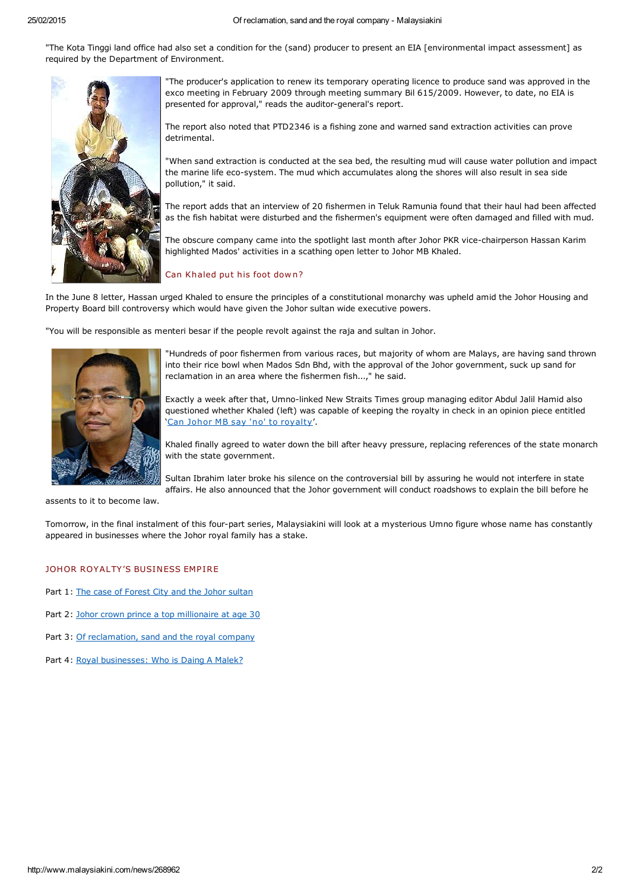"The Kota Tinggi land office had also set a condition for the (sand) producer to present an EIA [environmental impact assessment] as required by the Department of Environment.



"The producer's application to renew its temporary operating licence to produce sand was approved in the exco meeting in February 2009 through meeting summary Bil 615/2009. However, to date, no EIA is presented for approval," reads the auditor-general's report.

The report also noted that PTD2346 is a fishing zone and warned sand extraction activities can prove detrimental.

"When sand extraction is conducted at the sea bed, the resulting mud will cause water pollution and impact the marine life eco-system. The mud which accumulates along the shores will also result in sea side pollution," it said.

The report adds that an interview of 20 fishermen in Teluk Ramunia found that their haul had been affected as the fish habitat were disturbed and the fishermen's equipment were often damaged and filled with mud.

The obscure company came into the spotlight last month after Johor PKR vice-chairperson Hassan Karim highlighted Mados' activities in a scathing open letter to Johor MB Khaled.

## Can Khaled put his foot down?

In the June 8 letter, Hassan urged Khaled to ensure the principles of a constitutional monarchy was upheld amid the Johor Housing and Property Board bill controversy which would have given the Johor sultan wide executive powers.

"You will be responsible as menteri besar if the people revolt against the raja and sultan in Johor.



"Hundreds of poor fishermen from various races, but majority of whom are Malays, are having sand thrown into their rice bowl when Mados Sdn Bhd, with the approval of the Johor government, suck up sand for reclamation in an area where the fishermen fish...," he said.

Exactly a week after that, Umno-linked New Straits Times group managing editor Abdul Jalil Hamid also questioned whether Khaled (left) was capable of keeping the royalty in check in an opinion piece entitled 'Can Johor MB say 'no' to [royalty'](http://www.nst.com.my/node/2884).

Khaled finally agreed to water down the bill after heavy pressure, replacing references of the state monarch with the state government.

Sultan Ibrahim later broke his silence on the controversial bill by assuring he would not interfere in state affairs. He also announced that the Johor government will conduct roadshows to explain the bill before he

assents to it to become law.

Tomorrow, in the final instalment of this four-part series, Malaysiakini will look at a mysterious Umno figure whose name has constantly appeared in businesses where the Johor royal family has a stake.

## **JOHOR ROYALTY'S BUSINESS EMPIRE**

- Part 1: The case of [Forest](http://www.malaysiakini.com/news/268649) City and the Johor sultan
- Part 2: Johor crown prince a top [millionaire](http://www.malaysiakini.com/news/268842) at age 30
- Part 3: Of [reclamation,](http://www.malaysiakini.com/news/268962) sand and the royal company
- Part 4: Royal [businesses:](http://www.malaysiakini.com/news/269133) Who is Daing A Malek?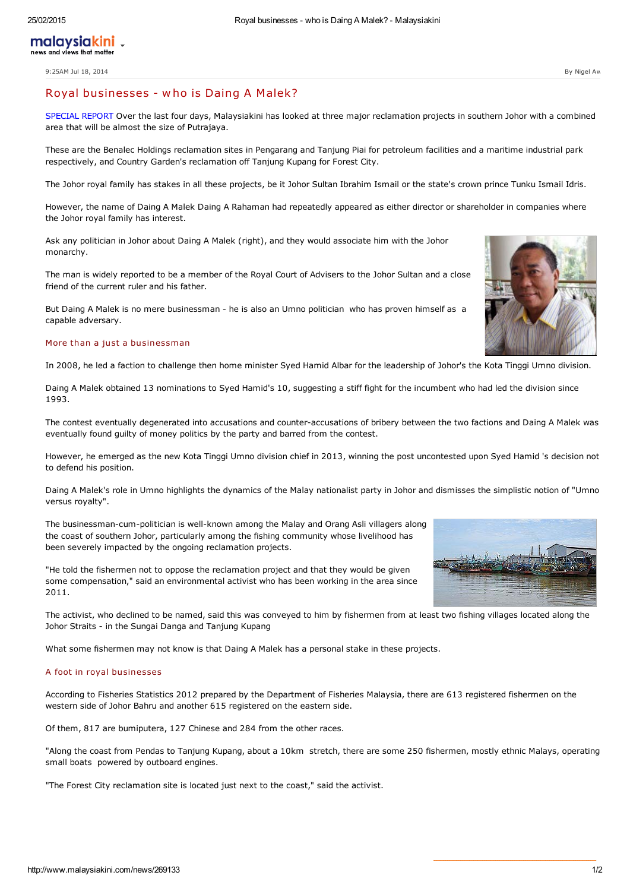# Royal businesses - w ho is Daing <sup>A</sup> Malek?

SPECIAL REPORT Over the last four days, Malaysiakini has looked at three major reclamation projects in southern Johor with a combined area that will be almost the size of Putrajaya.

These are the Benalec Holdings reclamation sites in Pengarang and Tanjung Piai for petroleum facilities and a maritime industrial park respectively, and Country Garden's reclamation off Tanjung Kupang for Forest City.

The Johor royal family has stakes in all these projects, be it Johor Sultan Ibrahim Ismail or the state's crown prince Tunku Ismail Idris.

However, the name of Daing A Malek Daing A Rahaman had repeatedly appeared as either director or shareholder in companies where the Johor royal family has interest.

Ask any politician in Johor about Daing A Malek (right), and they would associate him with the Johor monarchy.

The man is widely reported to be a member of the Royal Court of Advisers to the Johor Sultan and a close friend of the current ruler and his father.

But Daing A Malek is no mere businessman - he is also an Umno politician who has proven himself as a capable adversary.

## More than a just a businessman

In 2008, he led a faction to challenge then home minister Syed Hamid Albar for the leadership of Johor's the Kota Tinggi Umno division.

Daing A Malek obtained 13 nominations to Syed Hamid's 10, suggesting a stiff fight for the incumbent who had led the division since 1993.

The contest eventually degenerated into accusations and counter-accusations of bribery between the two factions and Daing A Malek was eventually found guilty of money politics by the party and barred from the contest.

However, he emerged as the new Kota Tinggi Umno division chief in 2013, winning the post uncontested upon Syed Hamid 's decision not to defend his position.

Daing A Malek's role in Umno highlights the dynamics of the Malay nationalist party in Johor and dismisses the simplistic notion of "Umno versus royalty".

The businessman-cum-politician is well-known among the Malay and Orang Asli villagers along the coast of southern Johor, particularly among the fishing community whose livelihood has been severely impacted by the ongoing reclamation projects.

"He told the fishermen not to oppose the reclamation project and that they would be given some compensation," said an environmental activist who has been working in the area since 2011.

The activist, who declined to be named, said this was conveyed to him by fishermen from at least two fishing villages located along the Johor Straits - in the Sungai Danga and Tanjung Kupang

What some fishermen may not know is that Daing A Malek has a personal stake in these projects.

## A foot in royal businesses

According to Fisheries Statistics 2012 prepared by the Department of Fisheries Malaysia, there are 613 registered fishermen on the western side of Johor Bahru and another 615 registered on the eastern side.

Of them, 817 are bumiputera, 127 Chinese and 284 from the other races.

"Along the coast from Pendas to Tanjung Kupang, about a 10km stretch, there are some 250 fishermen, mostly ethnic Malays, operating small boats powered by outboard engines.

"The Forest City reclamation site is located just next to the coast," said the activist.